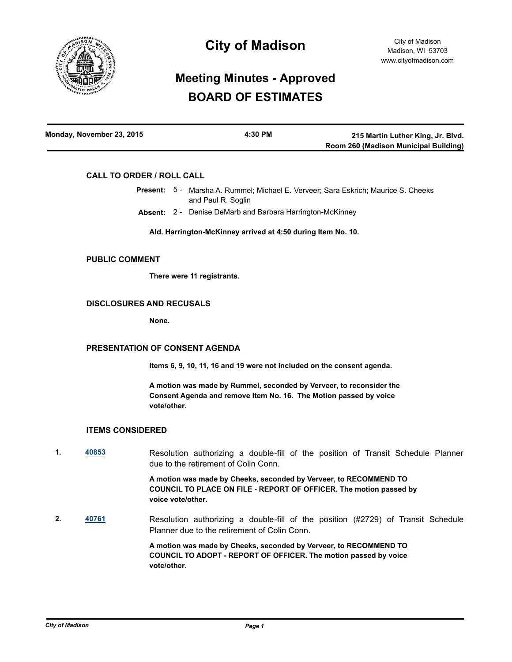

# **City of Madison**

# **Meeting Minutes - Approved BOARD OF ESTIMATES**

| Monday, November 23, 2015 | 4:30 PM | 215 Martin Luther King, Jr. Blvd.     |
|---------------------------|---------|---------------------------------------|
|                           |         | Room 260 (Madison Municipal Building) |

## **CALL TO ORDER / ROLL CALL**

- Present: 5 Marsha A. Rummel; Michael E. Verveer; Sara Eskrich; Maurice S. Cheeks and Paul R. Soglin
	- **Absent:** 2 Denise DeMarb and Barbara Harrington-McKinney

**Ald. Harrington-McKinney arrived at 4:50 during Item No. 10.**

### **PUBLIC COMMENT**

**There were 11 registrants.**

## **DISCLOSURES AND RECUSALS**

**None.**

#### **PRESENTATION OF CONSENT AGENDA**

**Items 6, 9, 10, 11, 16 and 19 were not included on the consent agenda.**

**A motion was made by Rummel, seconded by Verveer, to reconsider the Consent Agenda and remove Item No. 16. The Motion passed by voice vote/other.**

#### **ITEMS CONSIDERED**

**1. [40853](http://madison.legistar.com/gateway.aspx?m=l&id=/matter.aspx?key=44316)** Resolution authorizing a double-fill of the position of Transit Schedule Planner due to the retirement of Colin Conn.

> **A motion was made by Cheeks, seconded by Verveer, to RECOMMEND TO COUNCIL TO PLACE ON FILE - REPORT OF OFFICER. The motion passed by voice vote/other.**

**2. [40761](http://madison.legistar.com/gateway.aspx?m=l&id=/matter.aspx?key=44244)** Resolution authorizing a double-fill of the position (#2729) of Transit Schedule Planner due to the retirement of Colin Conn.

> **A motion was made by Cheeks, seconded by Verveer, to RECOMMEND TO COUNCIL TO ADOPT - REPORT OF OFFICER. The motion passed by voice vote/other.**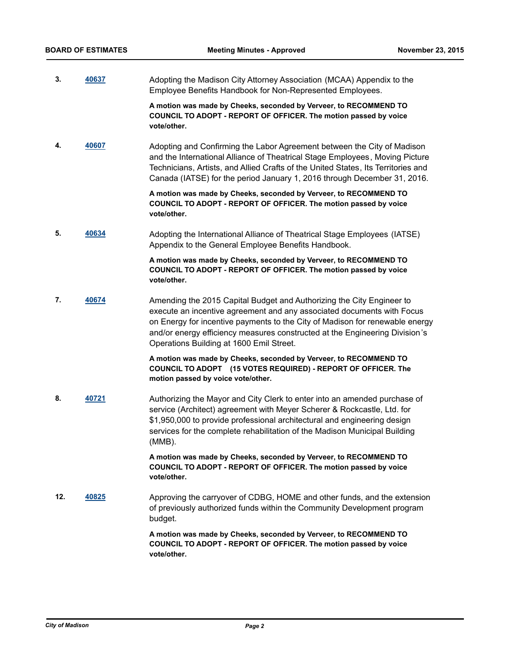**3. [40637](http://madison.legistar.com/gateway.aspx?m=l&id=/matter.aspx?key=44124)** Adopting the Madison City Attorney Association (MCAA) Appendix to the Employee Benefits Handbook for Non-Represented Employees.

> **A motion was made by Cheeks, seconded by Verveer, to RECOMMEND TO COUNCIL TO ADOPT - REPORT OF OFFICER. The motion passed by voice vote/other.**

**4. [40607](http://madison.legistar.com/gateway.aspx?m=l&id=/matter.aspx?key=44094)** Adopting and Confirming the Labor Agreement between the City of Madison and the International Alliance of Theatrical Stage Employees, Moving Picture Technicians, Artists, and Allied Crafts of the United States, Its Territories and Canada (IATSE) for the period January 1, 2016 through December 31, 2016.

> **A motion was made by Cheeks, seconded by Verveer, to RECOMMEND TO COUNCIL TO ADOPT - REPORT OF OFFICER. The motion passed by voice vote/other.**

**5. [40634](http://madison.legistar.com/gateway.aspx?m=l&id=/matter.aspx?key=44121)** Adopting the International Alliance of Theatrical Stage Employees (IATSE) Appendix to the General Employee Benefits Handbook.

> **A motion was made by Cheeks, seconded by Verveer, to RECOMMEND TO COUNCIL TO ADOPT - REPORT OF OFFICER. The motion passed by voice vote/other.**

**7. [40674](http://madison.legistar.com/gateway.aspx?m=l&id=/matter.aspx?key=44161)** Amending the 2015 Capital Budget and Authorizing the City Engineer to execute an incentive agreement and any associated documents with Focus on Energy for incentive payments to the City of Madison for renewable energy and/or energy efficiency measures constructed at the Engineering Division's Operations Building at 1600 Emil Street.

> **A motion was made by Cheeks, seconded by Verveer, to RECOMMEND TO COUNCIL TO ADOPT (15 VOTES REQUIRED) - REPORT OF OFFICER. The motion passed by voice vote/other.**

**8. [40721](http://madison.legistar.com/gateway.aspx?m=l&id=/matter.aspx?key=44204)** Authorizing the Mayor and City Clerk to enter into an amended purchase of service (Architect) agreement with Meyer Scherer & Rockcastle, Ltd. for \$1,950,000 to provide professional architectural and engineering design services for the complete rehabilitation of the Madison Municipal Building (MMB).

> **A motion was made by Cheeks, seconded by Verveer, to RECOMMEND TO COUNCIL TO ADOPT - REPORT OF OFFICER. The motion passed by voice vote/other.**

**12. [40825](http://madison.legistar.com/gateway.aspx?m=l&id=/matter.aspx?key=44291)** Approving the carryover of CDBG, HOME and other funds, and the extension of previously authorized funds within the Community Development program budget.

> **A motion was made by Cheeks, seconded by Verveer, to RECOMMEND TO COUNCIL TO ADOPT - REPORT OF OFFICER. The motion passed by voice vote/other.**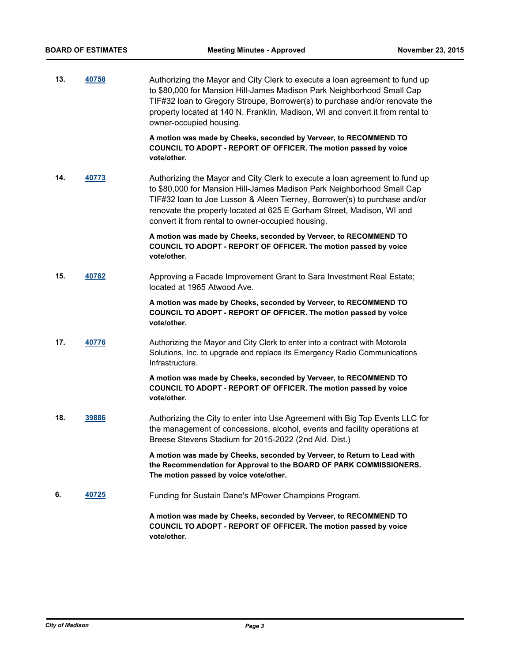| 13. | 40758 | Authorizing the Mayor and City Clerk to execute a loan agreement to fund up<br>to \$80,000 for Mansion Hill-James Madison Park Neighborhood Small Cap<br>TIF#32 loan to Gregory Stroupe, Borrower(s) to purchase and/or renovate the<br>property located at 140 N. Franklin, Madison, WI and convert it from rental to<br>owner-occupied housing.                |
|-----|-------|------------------------------------------------------------------------------------------------------------------------------------------------------------------------------------------------------------------------------------------------------------------------------------------------------------------------------------------------------------------|
|     |       | A motion was made by Cheeks, seconded by Verveer, to RECOMMEND TO<br>COUNCIL TO ADOPT - REPORT OF OFFICER. The motion passed by voice<br>vote/other.                                                                                                                                                                                                             |
| 14. | 40773 | Authorizing the Mayor and City Clerk to execute a loan agreement to fund up<br>to \$80,000 for Mansion Hill-James Madison Park Neighborhood Small Cap<br>TIF#32 loan to Joe Lusson & Aleen Tierney, Borrower(s) to purchase and/or<br>renovate the property located at 625 E Gorham Street, Madison, WI and<br>convert it from rental to owner-occupied housing. |
|     |       | A motion was made by Cheeks, seconded by Verveer, to RECOMMEND TO<br>COUNCIL TO ADOPT - REPORT OF OFFICER. The motion passed by voice<br>vote/other.                                                                                                                                                                                                             |
| 15. | 40782 | Approving a Facade Improvement Grant to Sara Investment Real Estate;<br>located at 1965 Atwood Ave.                                                                                                                                                                                                                                                              |
|     |       | A motion was made by Cheeks, seconded by Verveer, to RECOMMEND TO<br>COUNCIL TO ADOPT - REPORT OF OFFICER. The motion passed by voice<br>vote/other.                                                                                                                                                                                                             |
| 17. | 40776 | Authorizing the Mayor and City Clerk to enter into a contract with Motorola<br>Solutions, Inc. to upgrade and replace its Emergency Radio Communications<br>Infrastructure.                                                                                                                                                                                      |
|     |       | A motion was made by Cheeks, seconded by Verveer, to RECOMMEND TO<br>COUNCIL TO ADOPT - REPORT OF OFFICER. The motion passed by voice<br>vote/other.                                                                                                                                                                                                             |
| 18. | 39886 | Authorizing the City to enter into Use Agreement with Big Top Events LLC for<br>the management of concessions, alcohol, events and facility operations at<br>Breese Stevens Stadium for 2015-2022 (2nd Ald. Dist.)                                                                                                                                               |
|     |       | A motion was made by Cheeks, seconded by Verveer, to Return to Lead with<br>the Recommendation for Approval to the BOARD OF PARK COMMISSIONERS.<br>The motion passed by voice vote/other.                                                                                                                                                                        |
| 6.  | 40725 | Funding for Sustain Dane's MPower Champions Program.                                                                                                                                                                                                                                                                                                             |
|     |       | A motion was made by Cheeks, seconded by Verveer, to RECOMMEND TO<br>COUNCIL TO ADOPT - REPORT OF OFFICER. The motion passed by voice<br>vote/other.                                                                                                                                                                                                             |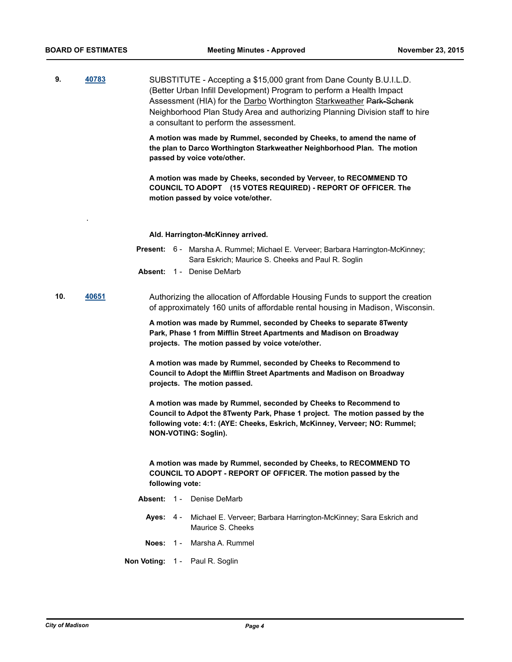.

**9. [40783](http://madison.legistar.com/gateway.aspx?m=l&id=/matter.aspx?key=44259)** SUBSTITUTE - Accepting a \$15,000 grant from Dane County B.U.I.L.D. (Better Urban Infill Development) Program to perform a Health Impact Assessment (HIA) for the Darbo Worthington Starkweather Park-Schenk Neighborhood Plan Study Area and authorizing Planning Division staff to hire a consultant to perform the assessment.

> **A motion was made by Rummel, seconded by Cheeks, to amend the name of the plan to Darco Worthington Starkweather Neighborhood Plan. The motion passed by voice vote/other.**

**A motion was made by Cheeks, seconded by Verveer, to RECOMMEND TO COUNCIL TO ADOPT (15 VOTES REQUIRED) - REPORT OF OFFICER. The motion passed by voice vote/other.**

#### **Ald. Harrington-McKinney arrived.**

- Present: 6 Marsha A. Rummel; Michael E. Verveer; Barbara Harrington-McKinney; Sara Eskrich; Maurice S. Cheeks and Paul R. Soglin
- **Absent:** 1 Denise DeMarb
- **10. [40651](http://madison.legistar.com/gateway.aspx?m=l&id=/matter.aspx?key=44138)** Authorizing the allocation of Affordable Housing Funds to support the creation of approximately 160 units of affordable rental housing in Madison, Wisconsin.

**A motion was made by Rummel, seconded by Cheeks to separate 8Twenty Park, Phase 1 from Mifflin Street Apartments and Madison on Broadway projects. The motion passed by voice vote/other.**

**A motion was made by Rummel, seconded by Cheeks to Recommend to Council to Adopt the Mifflin Street Apartments and Madison on Broadway projects. The motion passed.**

**A motion was made by Rummel, seconded by Cheeks to Recommend to Council to Adpot the 8Twenty Park, Phase 1 project. The motion passed by the following vote: 4:1: (AYE: Cheeks, Eskrich, McKinney, Verveer; NO: Rummel; NON-VOTING: Soglin).**

**A motion was made by Rummel, seconded by Cheeks, to RECOMMEND TO COUNCIL TO ADOPT - REPORT OF OFFICER. The motion passed by the following vote:**

**Absent:** 1 - Denise DeMarb **Ayes:** Michael E. Verveer; Barbara Harrington-McKinney; Sara Eskrich and Maurice S. Cheeks Ayes:  $4 -$ **Noes:** 1 - Marsha A. Rummel **Non Voting:** 1 - Paul R. Soglin